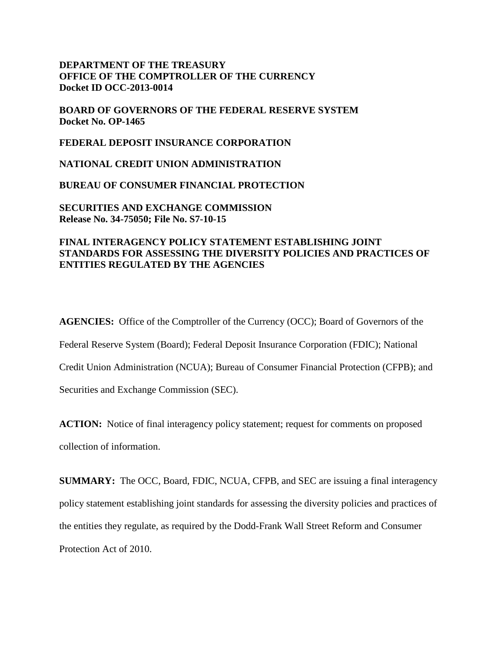# **DEPARTMENT OF THE TREASURY OFFICE OF THE COMPTROLLER OF THE CURRENCY Docket ID OCC-2013-0014**

**BOARD OF GOVERNORS OF THE FEDERAL RESERVE SYSTEM Docket No. OP-1465** 

**FEDERAL DEPOSIT INSURANCE CORPORATION**

**NATIONAL CREDIT UNION ADMINISTRATION**

**BUREAU OF CONSUMER FINANCIAL PROTECTION**

**SECURITIES AND EXCHANGE COMMISSION Release No. 34-75050; File No. S7-10-15** 

# **FINAL INTERAGENCY POLICY STATEMENT ESTABLISHING JOINT STANDARDS FOR ASSESSING THE DIVERSITY POLICIES AND PRACTICES OF ENTITIES REGULATED BY THE AGENCIES**

**AGENCIES:** Office of the Comptroller of the Currency (OCC); Board of Governors of the Federal Reserve System (Board); Federal Deposit Insurance Corporation (FDIC); National Credit Union Administration (NCUA); Bureau of Consumer Financial Protection (CFPB); and Securities and Exchange Commission (SEC).

**ACTION:** Notice of final interagency policy statement; request for comments on proposed collection of information.

**SUMMARY:** The OCC, Board, FDIC, NCUA, CFPB, and SEC are issuing a final interagency policy statement establishing joint standards for assessing the diversity policies and practices of the entities they regulate, as required by the Dodd-Frank Wall Street Reform and Consumer Protection Act of 2010.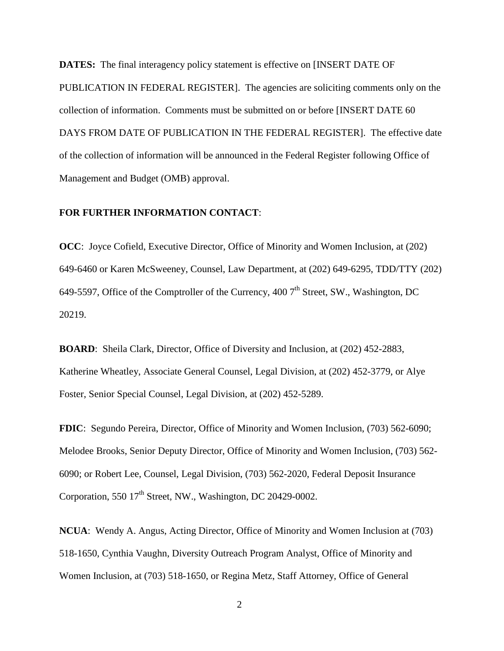**DATES:** The final interagency policy statement is effective on [INSERT DATE OF PUBLICATION IN FEDERAL REGISTER]. The agencies are soliciting comments only on the collection of information. Comments must be submitted on or before [INSERT DATE 60 DAYS FROM DATE OF PUBLICATION IN THE FEDERAL REGISTER]. The effective date of the collection of information will be announced in the Federal Register following Office of Management and Budget (OMB) approval.

# **FOR FURTHER INFORMATION CONTACT**:

**OCC**: Joyce Cofield, Executive Director, Office of Minority and Women Inclusion, at (202) 649-6460 or Karen McSweeney, Counsel, Law Department, at (202) 649-6295, TDD/TTY (202) 649-5597, Office of the Comptroller of the Currency, 400  $7<sup>th</sup>$  Street, SW., Washington, DC 20219.

**BOARD**: Sheila Clark, Director, Office of Diversity and Inclusion, at (202) 452-2883, Katherine Wheatley, Associate General Counsel, Legal Division, at (202) 452-3779, or Alye Foster, Senior Special Counsel, Legal Division, at (202) 452-5289.

**FDIC**: Segundo Pereira, Director, Office of Minority and Women Inclusion, (703) 562-6090; Melodee Brooks, Senior Deputy Director, Office of Minority and Women Inclusion, (703) 562- 6090; or Robert Lee, Counsel, Legal Division, (703) 562-2020, Federal Deposit Insurance Corporation, 550  $17<sup>th</sup>$  Street, NW., Washington, DC 20429-0002.

**NCUA**: Wendy A. Angus, Acting Director, Office of Minority and Women Inclusion at (703) 518-1650, Cynthia Vaughn, Diversity Outreach Program Analyst, Office of Minority and Women Inclusion, at (703) 518-1650, or Regina Metz, Staff Attorney, Office of General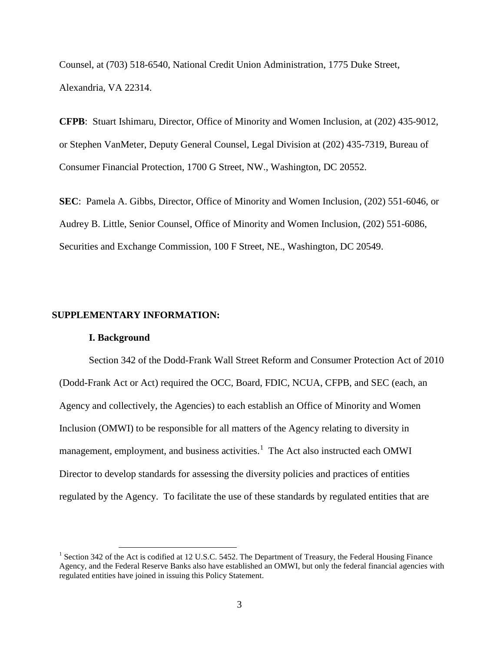Counsel, at (703) 518-6540, National Credit Union Administration, 1775 Duke Street, Alexandria, VA 22314.

**CFPB**: Stuart Ishimaru, Director, Office of Minority and Women Inclusion, at (202) 435-9012, or Stephen VanMeter, Deputy General Counsel, Legal Division at (202) 435-7319, Bureau of Consumer Financial Protection, 1700 G Street, NW., Washington, DC 20552.

**SEC**: Pamela A. Gibbs, Director, Office of Minority and Women Inclusion, (202) 551-6046, or Audrey B. Little, Senior Counsel, Office of Minority and Women Inclusion, (202) 551-6086, Securities and Exchange Commission, 100 F Street, NE., Washington, DC 20549.

### **SUPPLEMENTARY INFORMATION:**

#### **I. Background**

Section 342 of the Dodd-Frank Wall Street Reform and Consumer Protection Act of 2010 (Dodd-Frank Act or Act) required the OCC, Board, FDIC, NCUA, CFPB, and SEC (each, an Agency and collectively, the Agencies) to each establish an Office of Minority and Women Inclusion (OMWI) to be responsible for all matters of the Agency relating to diversity in management, employment, and business activities.<sup>[1](#page-2-0)</sup> The Act also instructed each OMWI Director to develop standards for assessing the diversity policies and practices of entities regulated by the Agency. To facilitate the use of these standards by regulated entities that are

<span id="page-2-0"></span><sup>&</sup>lt;sup>1</sup> Section 342 of the Act is codified at 12 U.S.C. 5452. The Department of Treasury, the Federal Housing Finance Agency, and the Federal Reserve Banks also have established an OMWI, but only the federal financial agencies with regulated entities have joined in issuing this Policy Statement.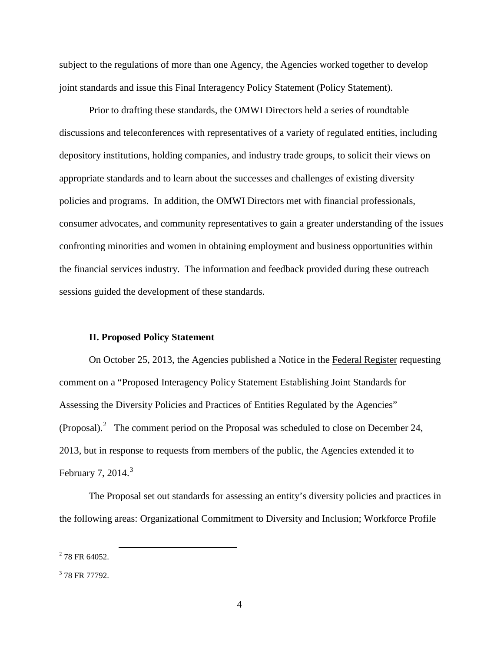subject to the regulations of more than one Agency, the Agencies worked together to develop joint standards and issue this Final Interagency Policy Statement (Policy Statement).

Prior to drafting these standards, the OMWI Directors held a series of roundtable discussions and teleconferences with representatives of a variety of regulated entities, including depository institutions, holding companies, and industry trade groups, to solicit their views on appropriate standards and to learn about the successes and challenges of existing diversity policies and programs. In addition, the OMWI Directors met with financial professionals, consumer advocates, and community representatives to gain a greater understanding of the issues confronting minorities and women in obtaining employment and business opportunities within the financial services industry. The information and feedback provided during these outreach sessions guided the development of these standards.

### **II. Proposed Policy Statement**

On October 25, 2013, the Agencies published a Notice in the Federal Register requesting comment on a "Proposed Interagency Policy Statement Establishing Joint Standards for Assessing the Diversity Policies and Practices of Entities Regulated by the Agencies" (Proposal).<sup>[2](#page-3-0)</sup> The comment period on the Proposal was scheduled to close on December 24, 2013, but in response to requests from members of the public, the Agencies extended it to February 7, 2014. $3$ 

The Proposal set out standards for assessing an entity's diversity policies and practices in the following areas: Organizational Commitment to Diversity and Inclusion; Workforce Profile

<span id="page-3-0"></span> $2$  78 FR 64052.

<span id="page-3-1"></span><sup>&</sup>lt;sup>3</sup> 78 FR 77792.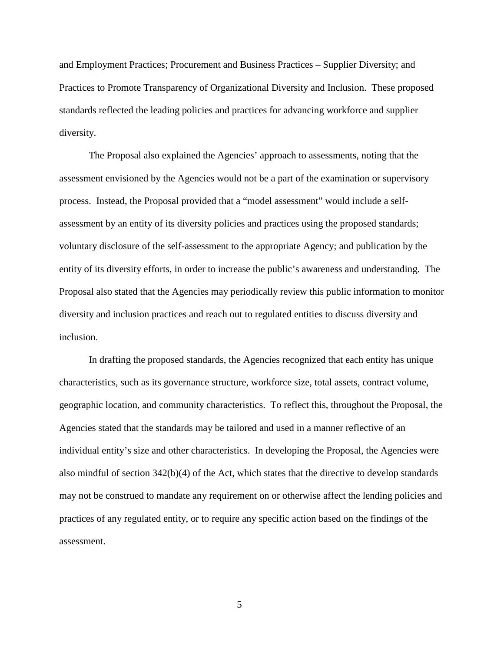and Employment Practices; Procurement and Business Practices – Supplier Diversity; and Practices to Promote Transparency of Organizational Diversity and Inclusion. These proposed standards reflected the leading policies and practices for advancing workforce and supplier diversity.

The Proposal also explained the Agencies' approach to assessments, noting that the assessment envisioned by the Agencies would not be a part of the examination or supervisory process. Instead, the Proposal provided that a "model assessment" would include a selfassessment by an entity of its diversity policies and practices using the proposed standards; voluntary disclosure of the self-assessment to the appropriate Agency; and publication by the entity of its diversity efforts, in order to increase the public's awareness and understanding. The Proposal also stated that the Agencies may periodically review this public information to monitor diversity and inclusion practices and reach out to regulated entities to discuss diversity and inclusion.

In drafting the proposed standards, the Agencies recognized that each entity has unique characteristics, such as its governance structure, workforce size, total assets, contract volume, geographic location, and community characteristics. To reflect this, throughout the Proposal, the Agencies stated that the standards may be tailored and used in a manner reflective of an individual entity's size and other characteristics. In developing the Proposal, the Agencies were also mindful of section  $342(b)(4)$  of the Act, which states that the directive to develop standards may not be construed to mandate any requirement on or otherwise affect the lending policies and practices of any regulated entity, or to require any specific action based on the findings of the assessment.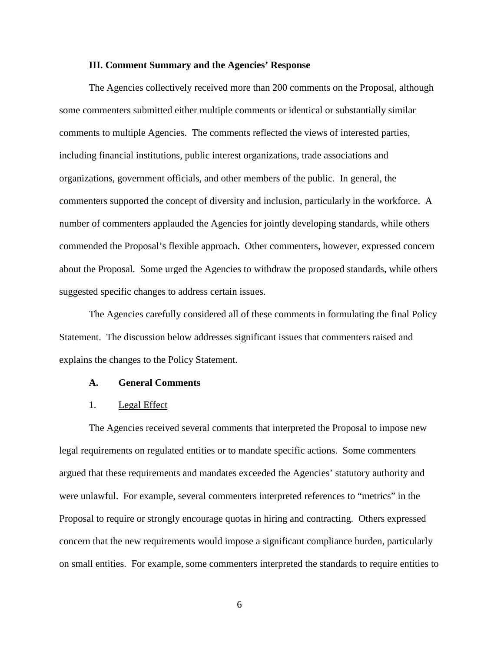### **III. Comment Summary and the Agencies' Response**

The Agencies collectively received more than 200 comments on the Proposal, although some commenters submitted either multiple comments or identical or substantially similar comments to multiple Agencies. The comments reflected the views of interested parties, including financial institutions, public interest organizations, trade associations and organizations, government officials, and other members of the public. In general, the commenters supported the concept of diversity and inclusion, particularly in the workforce. A number of commenters applauded the Agencies for jointly developing standards, while others commended the Proposal's flexible approach. Other commenters, however, expressed concern about the Proposal. Some urged the Agencies to withdraw the proposed standards, while others suggested specific changes to address certain issues.

The Agencies carefully considered all of these comments in formulating the final Policy Statement. The discussion below addresses significant issues that commenters raised and explains the changes to the Policy Statement.

#### **A. General Comments**

#### 1. Legal Effect

The Agencies received several comments that interpreted the Proposal to impose new legal requirements on regulated entities or to mandate specific actions. Some commenters argued that these requirements and mandates exceeded the Agencies' statutory authority and were unlawful. For example, several commenters interpreted references to "metrics" in the Proposal to require or strongly encourage quotas in hiring and contracting. Others expressed concern that the new requirements would impose a significant compliance burden, particularly on small entities. For example, some commenters interpreted the standards to require entities to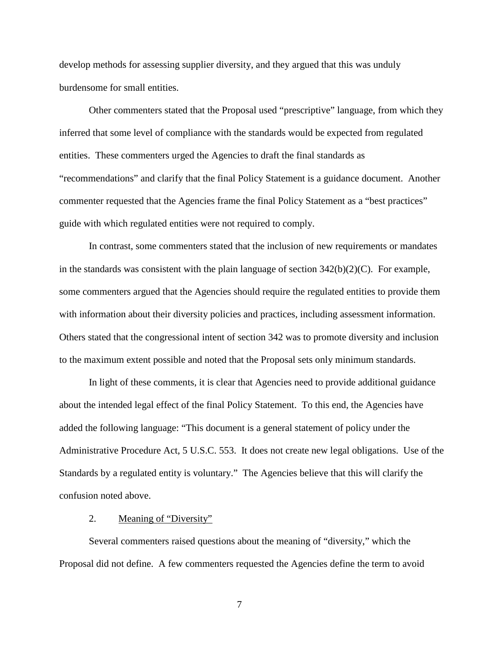develop methods for assessing supplier diversity, and they argued that this was unduly burdensome for small entities.

Other commenters stated that the Proposal used "prescriptive" language, from which they inferred that some level of compliance with the standards would be expected from regulated entities. These commenters urged the Agencies to draft the final standards as "recommendations" and clarify that the final Policy Statement is a guidance document. Another commenter requested that the Agencies frame the final Policy Statement as a "best practices" guide with which regulated entities were not required to comply.

In contrast, some commenters stated that the inclusion of new requirements or mandates in the standards was consistent with the plain language of section  $342(b)(2)(C)$ . For example, some commenters argued that the Agencies should require the regulated entities to provide them with information about their diversity policies and practices, including assessment information. Others stated that the congressional intent of section 342 was to promote diversity and inclusion to the maximum extent possible and noted that the Proposal sets only minimum standards.

In light of these comments, it is clear that Agencies need to provide additional guidance about the intended legal effect of the final Policy Statement. To this end, the Agencies have added the following language: "This document is a general statement of policy under the Administrative Procedure Act, 5 U.S.C. 553. It does not create new legal obligations. Use of the Standards by a regulated entity is voluntary." The Agencies believe that this will clarify the confusion noted above.

### 2. Meaning of "Diversity"

Several commenters raised questions about the meaning of "diversity," which the Proposal did not define. A few commenters requested the Agencies define the term to avoid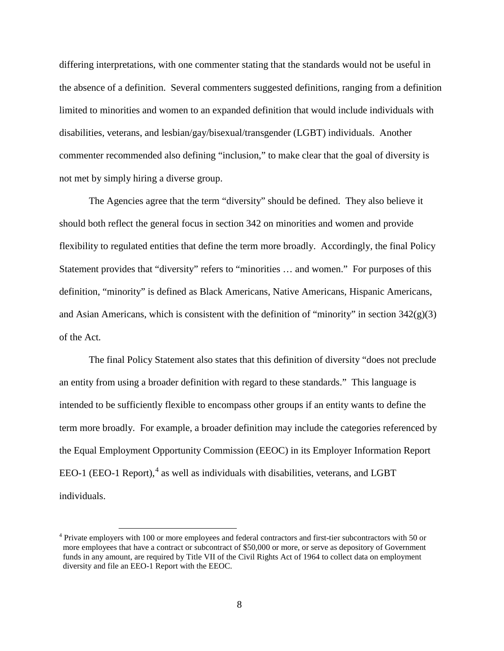differing interpretations, with one commenter stating that the standards would not be useful in the absence of a definition. Several commenters suggested definitions, ranging from a definition limited to minorities and women to an expanded definition that would include individuals with disabilities, veterans, and lesbian/gay/bisexual/transgender (LGBT) individuals. Another commenter recommended also defining "inclusion," to make clear that the goal of diversity is not met by simply hiring a diverse group.

The Agencies agree that the term "diversity" should be defined. They also believe it should both reflect the general focus in section 342 on minorities and women and provide flexibility to regulated entities that define the term more broadly. Accordingly, the final Policy Statement provides that "diversity" refers to "minorities … and women." For purposes of this definition, "minority" is defined as Black Americans, Native Americans, Hispanic Americans, and Asian Americans, which is consistent with the definition of "minority" in section 342(g)(3) of the Act*.* 

The final Policy Statement also states that this definition of diversity "does not preclude an entity from using a broader definition with regard to these standards." This language is intended to be sufficiently flexible to encompass other groups if an entity wants to define the term more broadly. For example, a broader definition may include the categories referenced by the Equal Employment Opportunity Commission (EEOC) in its Employer Information Report EEO-1 (EEO-1 Report), $4$  as well as individuals with disabilities, veterans, and LGBT individuals.

<span id="page-7-0"></span> <sup>4</sup> Private employers with 100 or more employees and federal contractors and first-tier subcontractors with 50 or more employees that have a contract or subcontract of \$50,000 or more, or serve as depository of Government funds in any amount, are required by Title VII of the Civil Rights Act of 1964 to collect data on employment diversity and file an EEO-1 Report with the EEOC.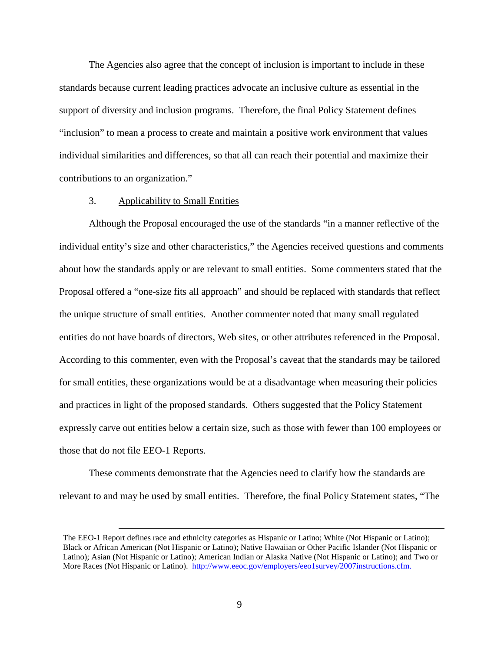The Agencies also agree that the concept of inclusion is important to include in these standards because current leading practices advocate an inclusive culture as essential in the support of diversity and inclusion programs. Therefore, the final Policy Statement defines "inclusion" to mean a process to create and maintain a positive work environment that values individual similarities and differences, so that all can reach their potential and maximize their contributions to an organization."

### 3. Applicability to Small Entities

Although the Proposal encouraged the use of the standards "in a manner reflective of the individual entity's size and other characteristics," the Agencies received questions and comments about how the standards apply or are relevant to small entities. Some commenters stated that the Proposal offered a "one-size fits all approach" and should be replaced with standards that reflect the unique structure of small entities. Another commenter noted that many small regulated entities do not have boards of directors, Web sites, or other attributes referenced in the Proposal. According to this commenter, even with the Proposal's caveat that the standards may be tailored for small entities, these organizations would be at a disadvantage when measuring their policies and practices in light of the proposed standards. Others suggested that the Policy Statement expressly carve out entities below a certain size, such as those with fewer than 100 employees or those that do not file EEO-1 Reports.

These comments demonstrate that the Agencies need to clarify how the standards are relevant to and may be used by small entities. Therefore, the final Policy Statement states, "The

The EEO-1 Report defines race and ethnicity categories as Hispanic or Latino; White (Not Hispanic or Latino); Black or African American (Not Hispanic or Latino); Native Hawaiian or Other Pacific Islander (Not Hispanic or Latino); Asian (Not Hispanic or Latino); American Indian or Alaska Native (Not Hispanic or Latino); and Two or More Races (Not Hispanic or Latino). [http://www.eeoc.gov/employers/eeo1survey/2007instructions.cfm.](http://www.eeoc.gov/employers/eeo1survey/2007instructions.cfm)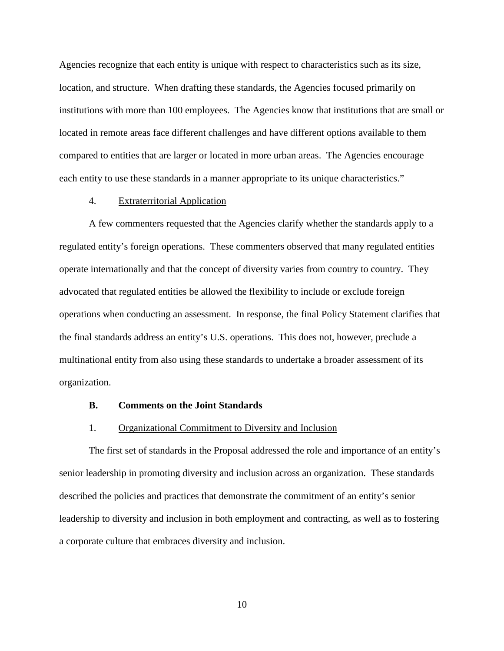Agencies recognize that each entity is unique with respect to characteristics such as its size, location, and structure. When drafting these standards, the Agencies focused primarily on institutions with more than 100 employees. The Agencies know that institutions that are small or located in remote areas face different challenges and have different options available to them compared to entities that are larger or located in more urban areas. The Agencies encourage each entity to use these standards in a manner appropriate to its unique characteristics."

# 4. Extraterritorial Application

A few commenters requested that the Agencies clarify whether the standards apply to a regulated entity's foreign operations. These commenters observed that many regulated entities operate internationally and that the concept of diversity varies from country to country. They advocated that regulated entities be allowed the flexibility to include or exclude foreign operations when conducting an assessment. In response, the final Policy Statement clarifies that the final standards address an entity's U.S. operations. This does not, however, preclude a multinational entity from also using these standards to undertake a broader assessment of its organization.

### **B. Comments on the Joint Standards**

#### 1. Organizational Commitment to Diversity and Inclusion

The first set of standards in the Proposal addressed the role and importance of an entity's senior leadership in promoting diversity and inclusion across an organization. These standards described the policies and practices that demonstrate the commitment of an entity's senior leadership to diversity and inclusion in both employment and contracting, as well as to fostering a corporate culture that embraces diversity and inclusion.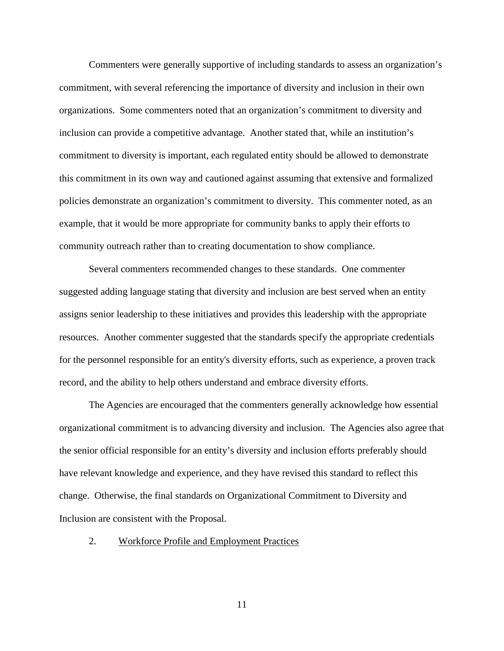Commenters were generally supportive of including standards to assess an organization's commitment, with several referencing the importance of diversity and inclusion in their own organizations. Some commenters noted that an organization's commitment to diversity and inclusion can provide a competitive advantage. Another stated that, while an institution's commitment to diversity is important, each regulated entity should be allowed to demonstrate this commitment in its own way and cautioned against assuming that extensive and formalized policies demonstrate an organization's commitment to diversity. This commenter noted, as an example, that it would be more appropriate for community banks to apply their efforts to community outreach rather than to creating documentation to show compliance.

Several commenters recommended changes to these standards. One commenter suggested adding language stating that diversity and inclusion are best served when an entity assigns senior leadership to these initiatives and provides this leadership with the appropriate resources. Another commenter suggested that the standards specify the appropriate credentials for the personnel responsible for an entity's diversity efforts, such as experience, a proven track record, and the ability to help others understand and embrace diversity efforts.

The Agencies are encouraged that the commenters generally acknowledge how essential organizational commitment is to advancing diversity and inclusion. The Agencies also agree that the senior official responsible for an entity's diversity and inclusion efforts preferably should have relevant knowledge and experience, and they have revised this standard to reflect this change. Otherwise, the final standards on Organizational Commitment to Diversity and Inclusion are consistent with the Proposal.

## 2. Workforce Profile and Employment Practices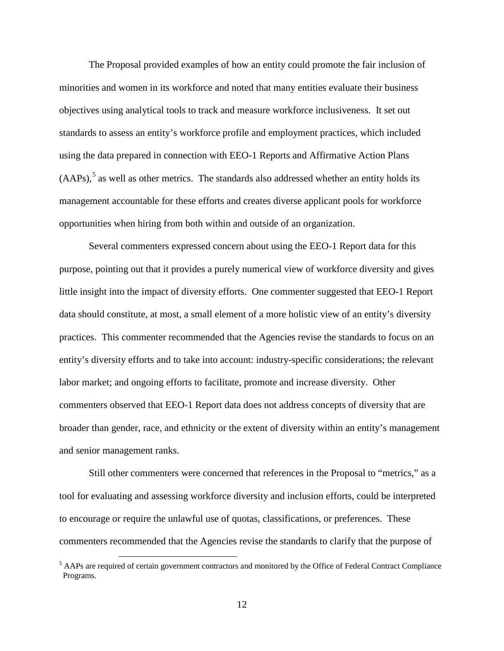The Proposal provided examples of how an entity could promote the fair inclusion of minorities and women in its workforce and noted that many entities evaluate their business objectives using analytical tools to track and measure workforce inclusiveness. It set out standards to assess an entity's workforce profile and employment practices, which included using the data prepared in connection with EEO-1 Reports and Affirmative Action Plans  $(AAPs)$ ,  $5$  as well as other metrics. The standards also addressed whether an entity holds its management accountable for these efforts and creates diverse applicant pools for workforce opportunities when hiring from both within and outside of an organization.

Several commenters expressed concern about using the EEO-1 Report data for this purpose, pointing out that it provides a purely numerical view of workforce diversity and gives little insight into the impact of diversity efforts. One commenter suggested that EEO-1 Report data should constitute, at most, a small element of a more holistic view of an entity's diversity practices. This commenter recommended that the Agencies revise the standards to focus on an entity's diversity efforts and to take into account: industry-specific considerations; the relevant labor market; and ongoing efforts to facilitate, promote and increase diversity. Other commenters observed that EEO-1 Report data does not address concepts of diversity that are broader than gender, race, and ethnicity or the extent of diversity within an entity's management and senior management ranks.

Still other commenters were concerned that references in the Proposal to "metrics," as a tool for evaluating and assessing workforce diversity and inclusion efforts, could be interpreted to encourage or require the unlawful use of quotas, classifications, or preferences. These commenters recommended that the Agencies revise the standards to clarify that the purpose of

<span id="page-11-0"></span><sup>&</sup>lt;sup>5</sup> AAPs are required of certain government contractors and monitored by the Office of Federal Contract Compliance Programs.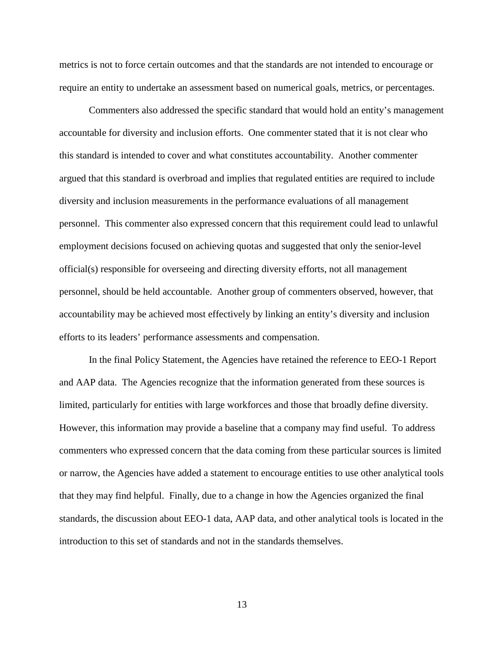metrics is not to force certain outcomes and that the standards are not intended to encourage or require an entity to undertake an assessment based on numerical goals, metrics, or percentages.

Commenters also addressed the specific standard that would hold an entity's management accountable for diversity and inclusion efforts. One commenter stated that it is not clear who this standard is intended to cover and what constitutes accountability. Another commenter argued that this standard is overbroad and implies that regulated entities are required to include diversity and inclusion measurements in the performance evaluations of all management personnel. This commenter also expressed concern that this requirement could lead to unlawful employment decisions focused on achieving quotas and suggested that only the senior-level official(s) responsible for overseeing and directing diversity efforts, not all management personnel, should be held accountable. Another group of commenters observed, however, that accountability may be achieved most effectively by linking an entity's diversity and inclusion efforts to its leaders' performance assessments and compensation.

In the final Policy Statement, the Agencies have retained the reference to EEO-1 Report and AAP data. The Agencies recognize that the information generated from these sources is limited, particularly for entities with large workforces and those that broadly define diversity. However, this information may provide a baseline that a company may find useful. To address commenters who expressed concern that the data coming from these particular sources is limited or narrow, the Agencies have added a statement to encourage entities to use other analytical tools that they may find helpful. Finally, due to a change in how the Agencies organized the final standards, the discussion about EEO-1 data, AAP data, and other analytical tools is located in the introduction to this set of standards and not in the standards themselves.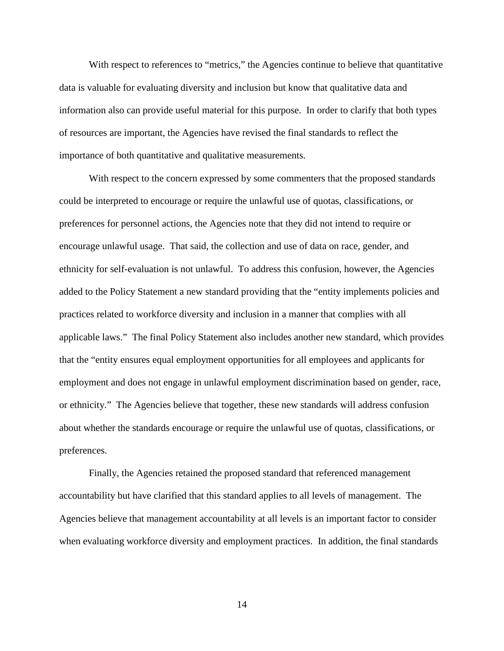With respect to references to "metrics," the Agencies continue to believe that quantitative data is valuable for evaluating diversity and inclusion but know that qualitative data and information also can provide useful material for this purpose. In order to clarify that both types of resources are important, the Agencies have revised the final standards to reflect the importance of both quantitative and qualitative measurements.

With respect to the concern expressed by some commenters that the proposed standards could be interpreted to encourage or require the unlawful use of quotas, classifications, or preferences for personnel actions, the Agencies note that they did not intend to require or encourage unlawful usage. That said, the collection and use of data on race, gender, and ethnicity for self-evaluation is not unlawful. To address this confusion, however, the Agencies added to the Policy Statement a new standard providing that the "entity implements policies and practices related to workforce diversity and inclusion in a manner that complies with all applicable laws." The final Policy Statement also includes another new standard, which provides that the "entity ensures equal employment opportunities for all employees and applicants for employment and does not engage in unlawful employment discrimination based on gender, race, or ethnicity." The Agencies believe that together, these new standards will address confusion about whether the standards encourage or require the unlawful use of quotas, classifications, or preferences.

Finally, the Agencies retained the proposed standard that referenced management accountability but have clarified that this standard applies to all levels of management. The Agencies believe that management accountability at all levels is an important factor to consider when evaluating workforce diversity and employment practices. In addition, the final standards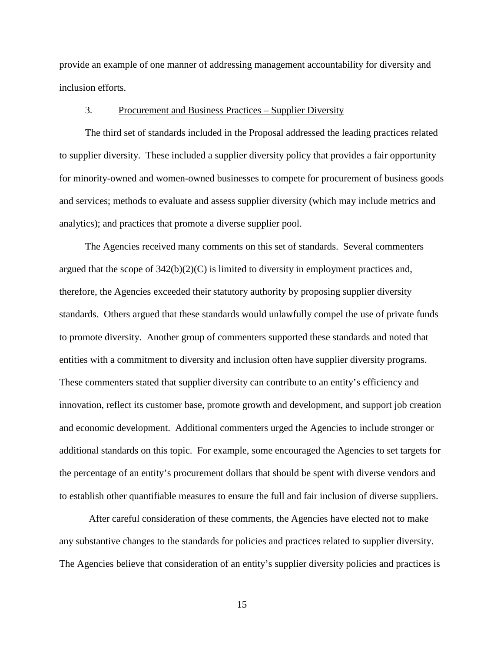provide an example of one manner of addressing management accountability for diversity and inclusion efforts.

### 3*.* Procurement and Business Practices – Supplier Diversity

The third set of standards included in the Proposal addressed the leading practices related to supplier diversity. These included a supplier diversity policy that provides a fair opportunity for minority-owned and women-owned businesses to compete for procurement of business goods and services; methods to evaluate and assess supplier diversity (which may include metrics and analytics); and practices that promote a diverse supplier pool.

The Agencies received many comments on this set of standards. Several commenters argued that the scope of  $342(b)(2)(C)$  is limited to diversity in employment practices and, therefore, the Agencies exceeded their statutory authority by proposing supplier diversity standards. Others argued that these standards would unlawfully compel the use of private funds to promote diversity. Another group of commenters supported these standards and noted that entities with a commitment to diversity and inclusion often have supplier diversity programs. These commenters stated that supplier diversity can contribute to an entity's efficiency and innovation, reflect its customer base, promote growth and development, and support job creation and economic development. Additional commenters urged the Agencies to include stronger or additional standards on this topic. For example, some encouraged the Agencies to set targets for the percentage of an entity's procurement dollars that should be spent with diverse vendors and to establish other quantifiable measures to ensure the full and fair inclusion of diverse suppliers.

After careful consideration of these comments, the Agencies have elected not to make any substantive changes to the standards for policies and practices related to supplier diversity. The Agencies believe that consideration of an entity's supplier diversity policies and practices is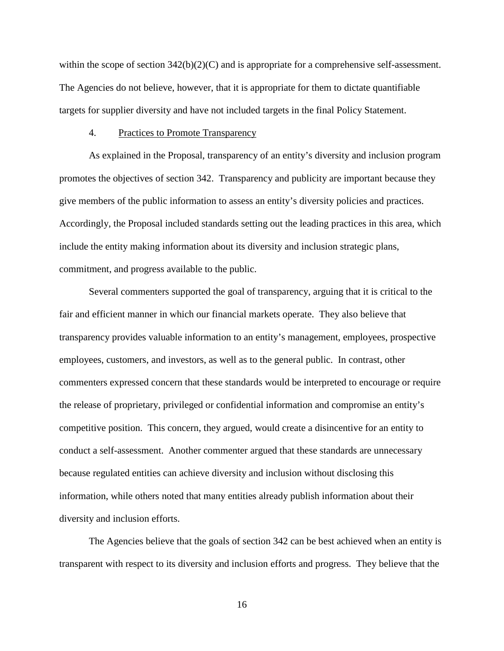within the scope of section  $342(b)(2)(C)$  and is appropriate for a comprehensive self-assessment. The Agencies do not believe, however, that it is appropriate for them to dictate quantifiable targets for supplier diversity and have not included targets in the final Policy Statement.

### 4. Practices to Promote Transparency

As explained in the Proposal, transparency of an entity's diversity and inclusion program promotes the objectives of section 342. Transparency and publicity are important because they give members of the public information to assess an entity's diversity policies and practices. Accordingly, the Proposal included standards setting out the leading practices in this area, which include the entity making information about its diversity and inclusion strategic plans, commitment, and progress available to the public.

Several commenters supported the goal of transparency, arguing that it is critical to the fair and efficient manner in which our financial markets operate. They also believe that transparency provides valuable information to an entity's management, employees, prospective employees, customers, and investors, as well as to the general public. In contrast, other commenters expressed concern that these standards would be interpreted to encourage or require the release of proprietary, privileged or confidential information and compromise an entity's competitive position. This concern, they argued, would create a disincentive for an entity to conduct a self-assessment. Another commenter argued that these standards are unnecessary because regulated entities can achieve diversity and inclusion without disclosing this information, while others noted that many entities already publish information about their diversity and inclusion efforts.

The Agencies believe that the goals of section 342 can be best achieved when an entity is transparent with respect to its diversity and inclusion efforts and progress. They believe that the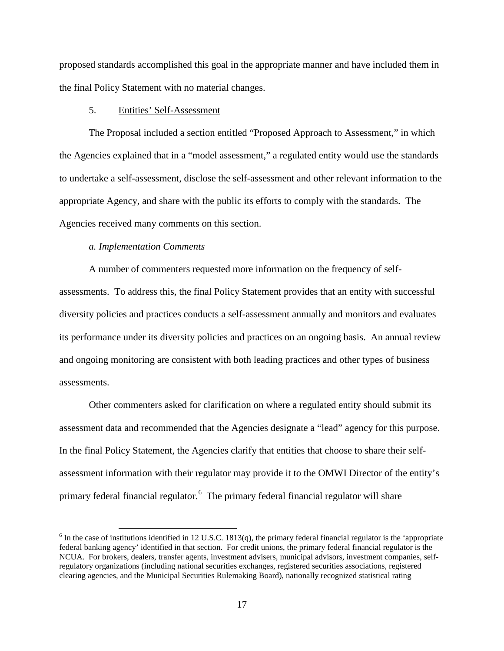proposed standards accomplished this goal in the appropriate manner and have included them in the final Policy Statement with no material changes.

## 5. Entities' Self-Assessment

The Proposal included a section entitled "Proposed Approach to Assessment," in which the Agencies explained that in a "model assessment," a regulated entity would use the standards to undertake a self-assessment, disclose the self-assessment and other relevant information to the appropriate Agency, and share with the public its efforts to comply with the standards. The Agencies received many comments on this section.

# *a. Implementation Comments*

A number of commenters requested more information on the frequency of selfassessments. To address this, the final Policy Statement provides that an entity with successful diversity policies and practices conducts a self-assessment annually and monitors and evaluates its performance under its diversity policies and practices on an ongoing basis. An annual review and ongoing monitoring are consistent with both leading practices and other types of business assessments.

Other commenters asked for clarification on where a regulated entity should submit its assessment data and recommended that the Agencies designate a "lead" agency for this purpose. In the final Policy Statement, the Agencies clarify that entities that choose to share their selfassessment information with their regulator may provide it to the OMWI Director of the entity's primary federal financial regulator.<sup>[6](#page-16-0)</sup> The primary federal financial regulator will share

<span id="page-16-0"></span> $6$  In the case of institutions identified in 12 U.S.C. 1813(q), the primary federal financial regulator is the 'appropriate federal banking agency' identified in that section. For credit unions, the primary federal financial regulator is the NCUA. For brokers, dealers, transfer agents, investment advisers, municipal advisors, investment companies, selfregulatory organizations (including national securities exchanges, registered securities associations, registered clearing agencies, and the Municipal Securities Rulemaking Board), nationally recognized statistical rating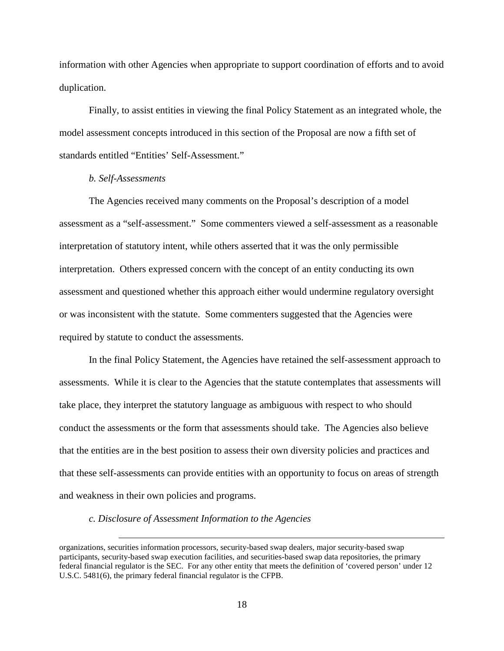information with other Agencies when appropriate to support coordination of efforts and to avoid duplication.

Finally, to assist entities in viewing the final Policy Statement as an integrated whole, the model assessment concepts introduced in this section of the Proposal are now a fifth set of standards entitled "Entities' Self-Assessment."

### *b. Self-Assessments*

 $\overline{a}$ 

The Agencies received many comments on the Proposal's description of a model assessment as a "self-assessment." Some commenters viewed a self-assessment as a reasonable interpretation of statutory intent, while others asserted that it was the only permissible interpretation. Others expressed concern with the concept of an entity conducting its own assessment and questioned whether this approach either would undermine regulatory oversight or was inconsistent with the statute. Some commenters suggested that the Agencies were required by statute to conduct the assessments.

In the final Policy Statement, the Agencies have retained the self-assessment approach to assessments. While it is clear to the Agencies that the statute contemplates that assessments will take place, they interpret the statutory language as ambiguous with respect to who should conduct the assessments or the form that assessments should take. The Agencies also believe that the entities are in the best position to assess their own diversity policies and practices and that these self-assessments can provide entities with an opportunity to focus on areas of strength and weakness in their own policies and programs.

#### *c. Disclosure of Assessment Information to the Agencies*

organizations, securities information processors, security-based swap dealers, major security-based swap participants, security-based swap execution facilities, and securities-based swap data repositories, the primary federal financial regulator is the SEC. For any other entity that meets the definition of 'covered person' under 12 U.S.C. 5481(6), the primary federal financial regulator is the CFPB.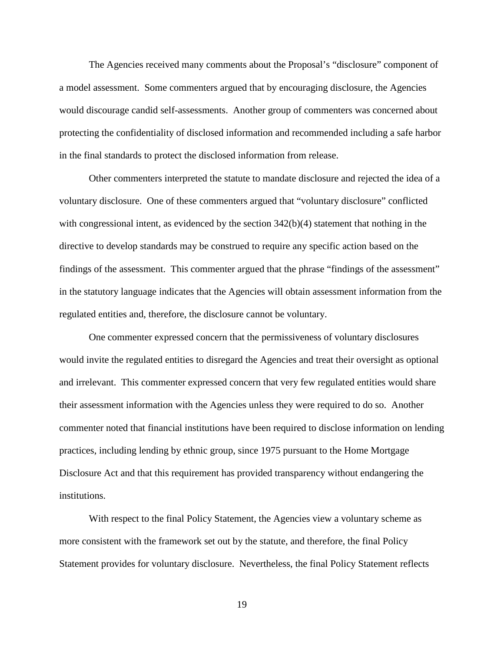The Agencies received many comments about the Proposal's "disclosure" component of a model assessment. Some commenters argued that by encouraging disclosure, the Agencies would discourage candid self-assessments. Another group of commenters was concerned about protecting the confidentiality of disclosed information and recommended including a safe harbor in the final standards to protect the disclosed information from release.

Other commenters interpreted the statute to mandate disclosure and rejected the idea of a voluntary disclosure. One of these commenters argued that "voluntary disclosure" conflicted with congressional intent, as evidenced by the section  $342(b)(4)$  statement that nothing in the directive to develop standards may be construed to require any specific action based on the findings of the assessment. This commenter argued that the phrase "findings of the assessment" in the statutory language indicates that the Agencies will obtain assessment information from the regulated entities and, therefore, the disclosure cannot be voluntary.

One commenter expressed concern that the permissiveness of voluntary disclosures would invite the regulated entities to disregard the Agencies and treat their oversight as optional and irrelevant. This commenter expressed concern that very few regulated entities would share their assessment information with the Agencies unless they were required to do so. Another commenter noted that financial institutions have been required to disclose information on lending practices, including lending by ethnic group, since 1975 pursuant to the Home Mortgage Disclosure Act and that this requirement has provided transparency without endangering the institutions.

With respect to the final Policy Statement, the Agencies view a voluntary scheme as more consistent with the framework set out by the statute, and therefore, the final Policy Statement provides for voluntary disclosure. Nevertheless, the final Policy Statement reflects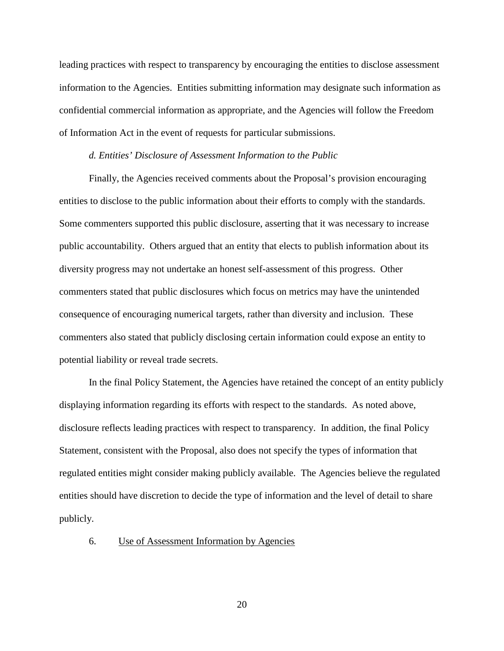leading practices with respect to transparency by encouraging the entities to disclose assessment information to the Agencies. Entities submitting information may designate such information as confidential commercial information as appropriate, and the Agencies will follow the Freedom of Information Act in the event of requests for particular submissions.

### *d. Entities' Disclosure of Assessment Information to the Public*

Finally, the Agencies received comments about the Proposal's provision encouraging entities to disclose to the public information about their efforts to comply with the standards. Some commenters supported this public disclosure, asserting that it was necessary to increase public accountability. Others argued that an entity that elects to publish information about its diversity progress may not undertake an honest self-assessment of this progress. Other commenters stated that public disclosures which focus on metrics may have the unintended consequence of encouraging numerical targets, rather than diversity and inclusion. These commenters also stated that publicly disclosing certain information could expose an entity to potential liability or reveal trade secrets.

In the final Policy Statement, the Agencies have retained the concept of an entity publicly displaying information regarding its efforts with respect to the standards. As noted above, disclosure reflects leading practices with respect to transparency. In addition, the final Policy Statement, consistent with the Proposal, also does not specify the types of information that regulated entities might consider making publicly available. The Agencies believe the regulated entities should have discretion to decide the type of information and the level of detail to share publicly.

## 6. Use of Assessment Information by Agencies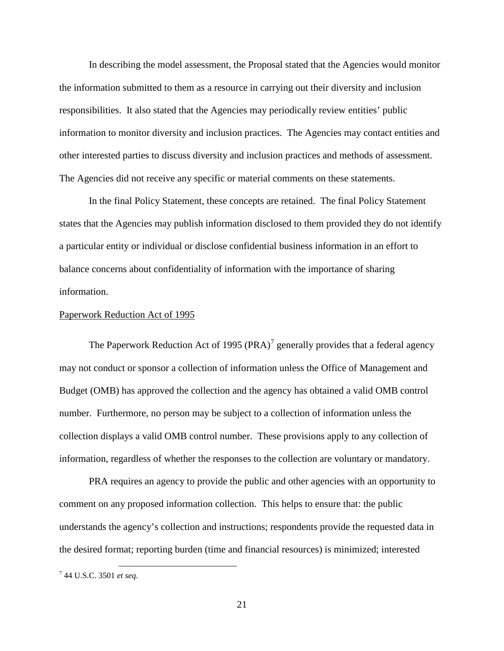In describing the model assessment, the Proposal stated that the Agencies would monitor the information submitted to them as a resource in carrying out their diversity and inclusion responsibilities. It also stated that the Agencies may periodically review entities' public information to monitor diversity and inclusion practices. The Agencies may contact entities and other interested parties to discuss diversity and inclusion practices and methods of assessment. The Agencies did not receive any specific or material comments on these statements.

In the final Policy Statement, these concepts are retained. The final Policy Statement states that the Agencies may publish information disclosed to them provided they do not identify a particular entity or individual or disclose confidential business information in an effort to balance concerns about confidentiality of information with the importance of sharing information.

#### Paperwork Reduction Act of 1995

The Paperwork Reduction Act of 1995 (PRA)<sup>[7](#page-20-0)</sup> generally provides that a federal agency may not conduct or sponsor a collection of information unless the Office of Management and Budget (OMB) has approved the collection and the agency has obtained a valid OMB control number. Furthermore, no person may be subject to a collection of information unless the collection displays a valid OMB control number. These provisions apply to any collection of information, regardless of whether the responses to the collection are voluntary or mandatory.

PRA requires an agency to provide the public and other agencies with an opportunity to comment on any proposed information collection. This helps to ensure that: the public understands the agency's collection and instructions; respondents provide the requested data in the desired format; reporting burden (time and financial resources) is minimized; interested

<span id="page-20-0"></span> <sup>7</sup> 44 U.S.C. 3501 *et seq.*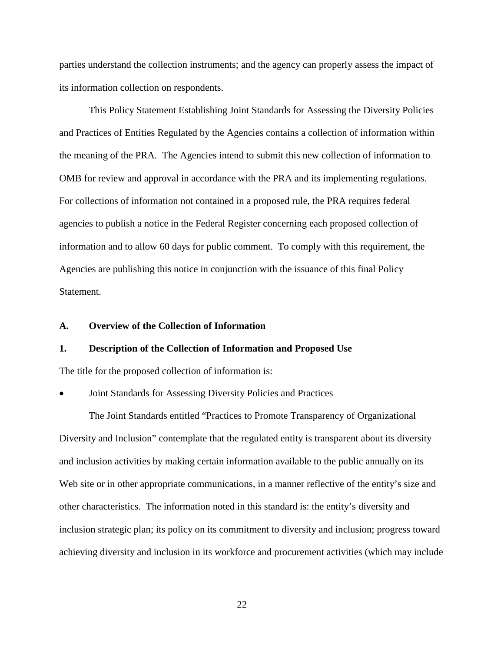parties understand the collection instruments; and the agency can properly assess the impact of its information collection on respondents.

This Policy Statement Establishing Joint Standards for Assessing the Diversity Policies and Practices of Entities Regulated by the Agencies contains a collection of information within the meaning of the PRA. The Agencies intend to submit this new collection of information to OMB for review and approval in accordance with the PRA and its implementing regulations. For collections of information not contained in a proposed rule, the PRA requires federal agencies to publish a notice in the Federal Register concerning each proposed collection of information and to allow 60 days for public comment. To comply with this requirement, the Agencies are publishing this notice in conjunction with the issuance of this final Policy **Statement** 

### **A. Overview of the Collection of Information**

# **1. Description of the Collection of Information and Proposed Use**

The title for the proposed collection of information is:

### • Joint Standards for Assessing Diversity Policies and Practices

The Joint Standards entitled "Practices to Promote Transparency of Organizational Diversity and Inclusion" contemplate that the regulated entity is transparent about its diversity and inclusion activities by making certain information available to the public annually on its Web site or in other appropriate communications, in a manner reflective of the entity's size and other characteristics. The information noted in this standard is: the entity's diversity and inclusion strategic plan; its policy on its commitment to diversity and inclusion; progress toward achieving diversity and inclusion in its workforce and procurement activities (which may include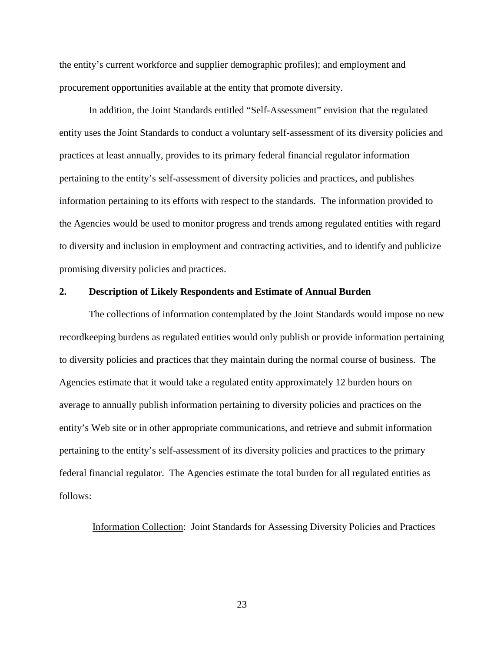the entity's current workforce and supplier demographic profiles); and employment and procurement opportunities available at the entity that promote diversity.

In addition, the Joint Standards entitled "Self-Assessment" envision that the regulated entity uses the Joint Standards to conduct a voluntary self-assessment of its diversity policies and practices at least annually, provides to its primary federal financial regulator information pertaining to the entity's self-assessment of diversity policies and practices, and publishes information pertaining to its efforts with respect to the standards. The information provided to the Agencies would be used to monitor progress and trends among regulated entities with regard to diversity and inclusion in employment and contracting activities, and to identify and publicize promising diversity policies and practices.

### **2. Description of Likely Respondents and Estimate of Annual Burden**

The collections of information contemplated by the Joint Standards would impose no new recordkeeping burdens as regulated entities would only publish or provide information pertaining to diversity policies and practices that they maintain during the normal course of business. The Agencies estimate that it would take a regulated entity approximately 12 burden hours on average to annually publish information pertaining to diversity policies and practices on the entity's Web site or in other appropriate communications, and retrieve and submit information pertaining to the entity's self-assessment of its diversity policies and practices to the primary federal financial regulator. The Agencies estimate the total burden for all regulated entities as follows:

Information Collection: Joint Standards for Assessing Diversity Policies and Practices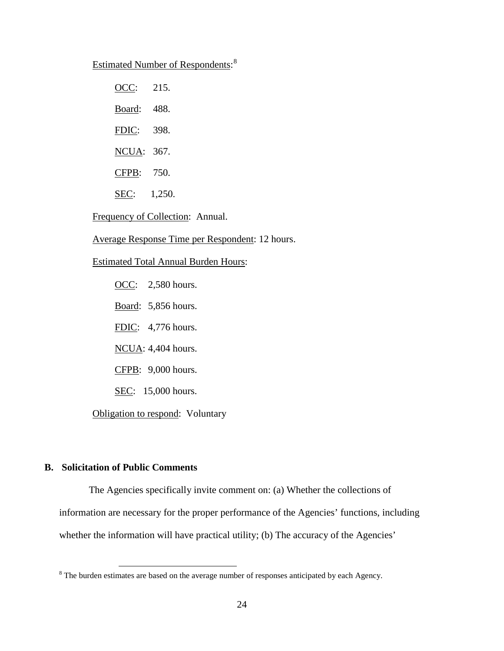# Estimated Number of Respondents:<sup>[8](#page-23-0)</sup>

| OCC:          | 215.   |
|---------------|--------|
| Board:        | 488.   |
| FDIC:         | 398.   |
| NCUA:         | 367.   |
| CFPB:         | 750.   |
| S <u>EC</u> : | 1,250. |

### Frequency of Collection: Annual.

Average Response Time per Respondent: 12 hours.

### Estimated Total Annual Burden Hours:

OCC: 2,580 hours.

Board: 5,856 hours.

FDIC: 4,776 hours.

NCUA: 4,404 hours.

CFPB: 9,000 hours.

SEC: 15,000 hours.

Obligation to respond: Voluntary

# **B. Solicitation of Public Comments**

 The Agencies specifically invite comment on: (a) Whether the collections of information are necessary for the proper performance of the Agencies' functions, including whether the information will have practical utility; (b) The accuracy of the Agencies'

<span id="page-23-0"></span><sup>&</sup>lt;sup>8</sup> The burden estimates are based on the average number of responses anticipated by each Agency.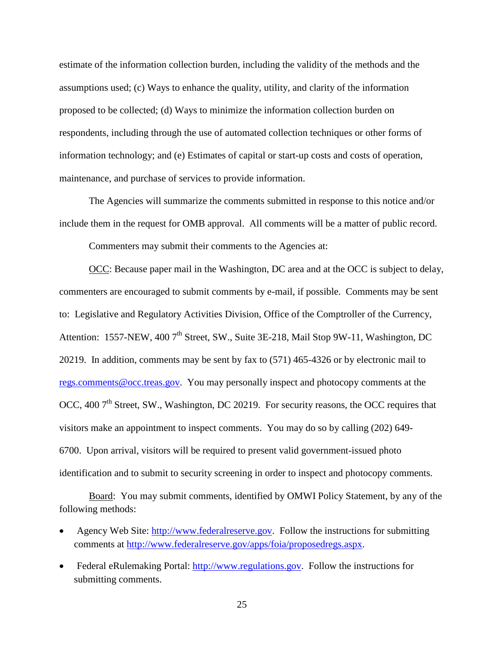estimate of the information collection burden, including the validity of the methods and the assumptions used; (c) Ways to enhance the quality, utility, and clarity of the information proposed to be collected; (d) Ways to minimize the information collection burden on respondents, including through the use of automated collection techniques or other forms of information technology; and (e) Estimates of capital or start-up costs and costs of operation, maintenance, and purchase of services to provide information.

The Agencies will summarize the comments submitted in response to this notice and/or include them in the request for OMB approval. All comments will be a matter of public record.

Commenters may submit their comments to the Agencies at:

OCC: Because paper mail in the Washington, DC area and at the OCC is subject to delay, commenters are encouraged to submit comments by e-mail, if possible. Comments may be sent to: Legislative and Regulatory Activities Division, Office of the Comptroller of the Currency, Attention: 1557-NEW, 400 7<sup>th</sup> Street, SW., Suite 3E-218, Mail Stop 9W-11, Washington, DC 20219. In addition, comments may be sent by fax to (571) 465-4326 or by electronic mail to [regs.comments@occ.treas.gov.](mailto:regs.comments@occ.treas.gov) You may personally inspect and photocopy comments at the OCC, 400 7<sup>th</sup> Street, SW., Washington, DC 20219. For security reasons, the OCC requires that visitors make an appointment to inspect comments. You may do so by calling (202) 649- 6700. Upon arrival, visitors will be required to present valid government-issued photo identification and to submit to security screening in order to inspect and photocopy comments.

Board: You may submit comments, identified by OMWI Policy Statement, by any of the following methods:

- Agency Web Site: [http://www.federalreserve.gov.](http://www.federalreserve.gov/) Follow the instructions for submitting comments at [http://www.federalreserve.gov/apps/foia/proposedregs.aspx.](http://www.federalreserve.gov/apps/foia/proposedregs.aspx)
- Federal eRulemaking Portal: [http://www.regulations.gov.](http://www.regulations.gov/) Follow the instructions for submitting comments.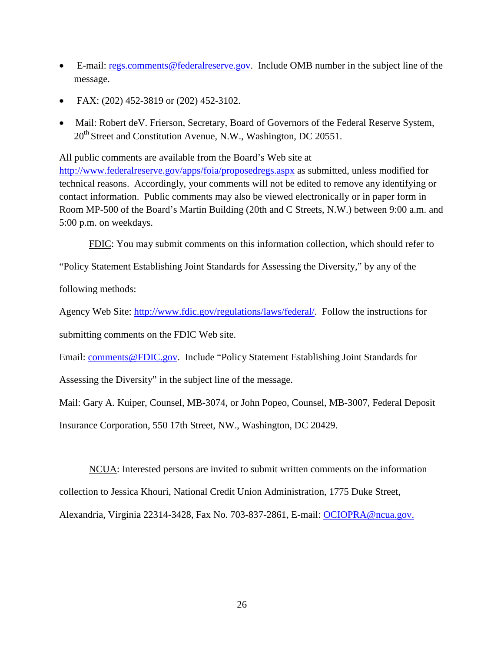- E-mail: [regs.comments@federalreserve.gov.](mailto:regs.comments@federalreserve.gov) Include OMB number in the subject line of the message.
- FAX: (202) 452-3819 or (202) 452-3102.
- Mail: Robert de V. Frierson, Secretary, Board of Governors of the Federal Reserve System, 20<sup>th</sup> Street and Constitution Avenue, N.W., Washington, DC 20551.

All public comments are available from the Board's Web site at

<http://www.federalreserve.gov/apps/foia/proposedregs.aspx> as submitted, unless modified for technical reasons. Accordingly, your comments will not be edited to remove any identifying or contact information. Public comments may also be viewed electronically or in paper form in Room MP-500 of the Board's Martin Building (20th and C Streets, N.W.) between 9:00 a.m. and 5:00 p.m. on weekdays.

FDIC: You may submit comments on this information collection, which should refer to

"Policy Statement Establishing Joint Standards for Assessing the Diversity," by any of the

following methods:

Agency Web Site: [http://www.fdic.gov/regulations/laws/federal/.](http://www.fdic.gov/regulations/laws/federal/) Follow the instructions for submitting comments on the FDIC Web site.

Email: [comments@FDIC.gov.](mailto:comments@fdic.gov) Include "Policy Statement Establishing Joint Standards for

Assessing the Diversity" in the subject line of the message.

Mail: Gary A. Kuiper, Counsel, MB-3074, or John Popeo, Counsel, MB-3007, Federal Deposit

Insurance Corporation, 550 17th Street, NW., Washington, DC 20429.

NCUA: Interested persons are invited to submit written comments on the information collection to Jessica Khouri, National Credit Union Administration, 1775 Duke Street, Alexandria, Virginia 22314-3428, Fax No. 703-837-2861, E-mail: [OCIOPRA@ncua.gov.](mailto:OCIOPRA@ncua.gov)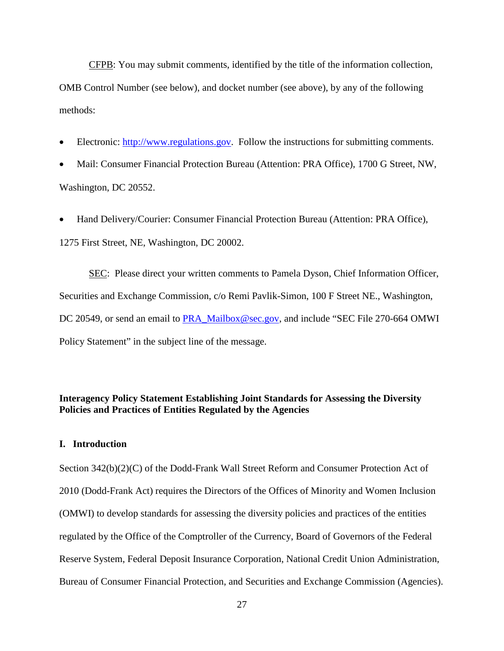CFPB: You may submit comments, identified by the title of the information collection, OMB Control Number (see below), and docket number (see above), by any of the following methods:

- Electronic: [http://www.regulations.gov.](http://www.regulations.gov/) Follow the instructions for submitting comments.
- Mail: Consumer Financial Protection Bureau (Attention: PRA Office), 1700 G Street, NW, Washington, DC 20552.
- Hand Delivery/Courier: Consumer Financial Protection Bureau (Attention: PRA Office), 1275 First Street, NE, Washington, DC 20002.

SEC: Please direct your written comments to Pamela Dyson, Chief Information Officer, Securities and Exchange Commission, c/o Remi Pavlik-Simon, 100 F Street NE., Washington, DC 20549, or send an email to [PRA\\_Mailbox@sec.gov,](mailto:PRA_Mailbox@sec.gov) and include "SEC File 270-664 OMWI Policy Statement" in the subject line of the message.

# **Interagency Policy Statement Establishing Joint Standards for Assessing the Diversity Policies and Practices of Entities Regulated by the Agencies**

# **I. Introduction**

Section 342(b)(2)(C) of the Dodd-Frank Wall Street Reform and Consumer Protection Act of 2010 (Dodd-Frank Act) requires the Directors of the Offices of Minority and Women Inclusion (OMWI) to develop standards for assessing the diversity policies and practices of the entities regulated by the Office of the Comptroller of the Currency, Board of Governors of the Federal Reserve System, Federal Deposit Insurance Corporation, National Credit Union Administration, Bureau of Consumer Financial Protection, and Securities and Exchange Commission (Agencies).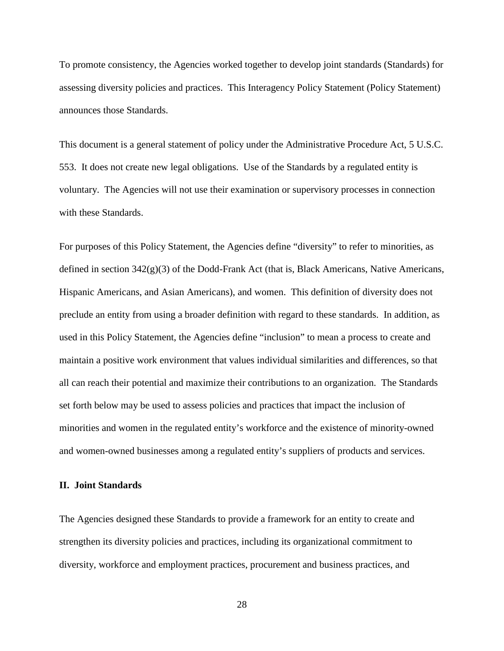To promote consistency, the Agencies worked together to develop joint standards (Standards) for assessing diversity policies and practices. This Interagency Policy Statement (Policy Statement) announces those Standards.

This document is a general statement of policy under the Administrative Procedure Act, 5 U.S.C. 553. It does not create new legal obligations. Use of the Standards by a regulated entity is voluntary. The Agencies will not use their examination or supervisory processes in connection with these Standards.

For purposes of this Policy Statement, the Agencies define "diversity" to refer to minorities, as defined in section  $342(g)(3)$  of the Dodd-Frank Act (that is, Black Americans, Native Americans, Hispanic Americans, and Asian Americans), and women. This definition of diversity does not preclude an entity from using a broader definition with regard to these standards. In addition, as used in this Policy Statement, the Agencies define "inclusion" to mean a process to create and maintain a positive work environment that values individual similarities and differences, so that all can reach their potential and maximize their contributions to an organization. The Standards set forth below may be used to assess policies and practices that impact the inclusion of minorities and women in the regulated entity's workforce and the existence of minority-owned and women-owned businesses among a regulated entity's suppliers of products and services.

#### **II. Joint Standards**

The Agencies designed these Standards to provide a framework for an entity to create and strengthen its diversity policies and practices, including its organizational commitment to diversity, workforce and employment practices, procurement and business practices, and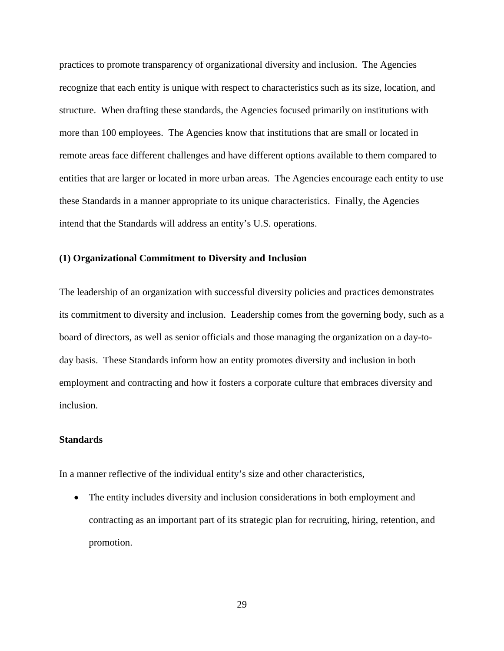practices to promote transparency of organizational diversity and inclusion. The Agencies recognize that each entity is unique with respect to characteristics such as its size, location, and structure. When drafting these standards, the Agencies focused primarily on institutions with more than 100 employees. The Agencies know that institutions that are small or located in remote areas face different challenges and have different options available to them compared to entities that are larger or located in more urban areas. The Agencies encourage each entity to use these Standards in a manner appropriate to its unique characteristics. Finally, the Agencies intend that the Standards will address an entity's U.S. operations.

## **(1) Organizational Commitment to Diversity and Inclusion**

The leadership of an organization with successful diversity policies and practices demonstrates its commitment to diversity and inclusion. Leadership comes from the governing body, such as a board of directors, as well as senior officials and those managing the organization on a day-today basis. These Standards inform how an entity promotes diversity and inclusion in both employment and contracting and how it fosters a corporate culture that embraces diversity and inclusion.

# **Standards**

In a manner reflective of the individual entity's size and other characteristics,

• The entity includes diversity and inclusion considerations in both employment and contracting as an important part of its strategic plan for recruiting, hiring, retention, and promotion.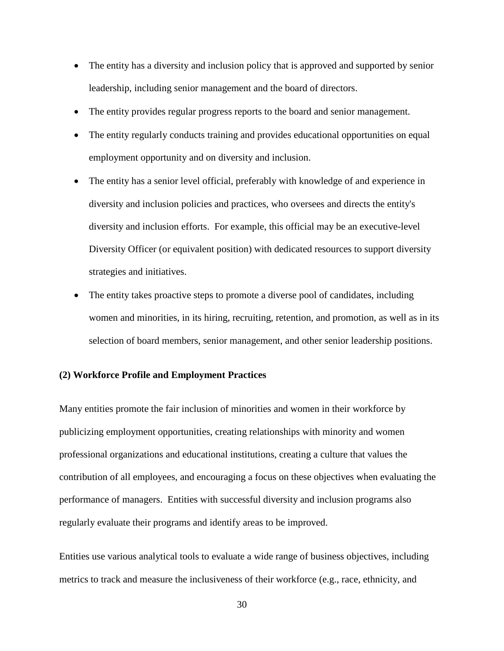- The entity has a diversity and inclusion policy that is approved and supported by senior leadership, including senior management and the board of directors.
- The entity provides regular progress reports to the board and senior management.
- The entity regularly conducts training and provides educational opportunities on equal employment opportunity and on diversity and inclusion.
- The entity has a senior level official, preferably with knowledge of and experience in diversity and inclusion policies and practices, who oversees and directs the entity's diversity and inclusion efforts. For example, this official may be an executive-level Diversity Officer (or equivalent position) with dedicated resources to support diversity strategies and initiatives.
- The entity takes proactive steps to promote a diverse pool of candidates, including women and minorities, in its hiring, recruiting, retention, and promotion, as well as in its selection of board members, senior management, and other senior leadership positions.

# **(2) Workforce Profile and Employment Practices**

Many entities promote the fair inclusion of minorities and women in their workforce by publicizing employment opportunities, creating relationships with minority and women professional organizations and educational institutions, creating a culture that values the contribution of all employees, and encouraging a focus on these objectives when evaluating the performance of managers. Entities with successful diversity and inclusion programs also regularly evaluate their programs and identify areas to be improved.

Entities use various analytical tools to evaluate a wide range of business objectives, including metrics to track and measure the inclusiveness of their workforce (e.g., race, ethnicity, and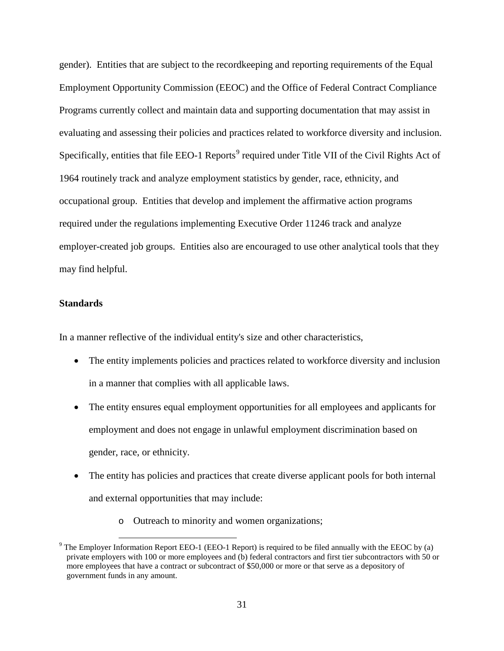gender). Entities that are subject to the recordkeeping and reporting requirements of the Equal Employment Opportunity Commission (EEOC) and the Office of Federal Contract Compliance Programs currently collect and maintain data and supporting documentation that may assist in evaluating and assessing their policies and practices related to workforce diversity and inclusion. Specifically, entities that file EEO-1 Reports<sup>[9](#page-30-0)</sup> required under Title VII of the Civil Rights Act of 1964 routinely track and analyze employment statistics by gender, race, ethnicity, and occupational group. Entities that develop and implement the affirmative action programs required under the regulations implementing Executive Order 11246 track and analyze employer-created job groups. Entities also are encouraged to use other analytical tools that they may find helpful.

# **Standards**

In a manner reflective of the individual entity's size and other characteristics,

- The entity implements policies and practices related to workforce diversity and inclusion in a manner that complies with all applicable laws.
- The entity ensures equal employment opportunities for all employees and applicants for employment and does not engage in unlawful employment discrimination based on gender, race, or ethnicity.
- The entity has policies and practices that create diverse applicant pools for both internal and external opportunities that may include:
	- o Outreach to minority and women organizations;

<span id="page-30-0"></span> $9$  The Employer Information Report EEO-1 (EEO-1 Report) is required to be filed annually with the EEOC by (a) private employers with 100 or more employees and (b) federal contractors and first tier subcontractors with 50 or more employees that have a contract or subcontract of \$50,000 or more or that serve as a depository of government funds in any amount.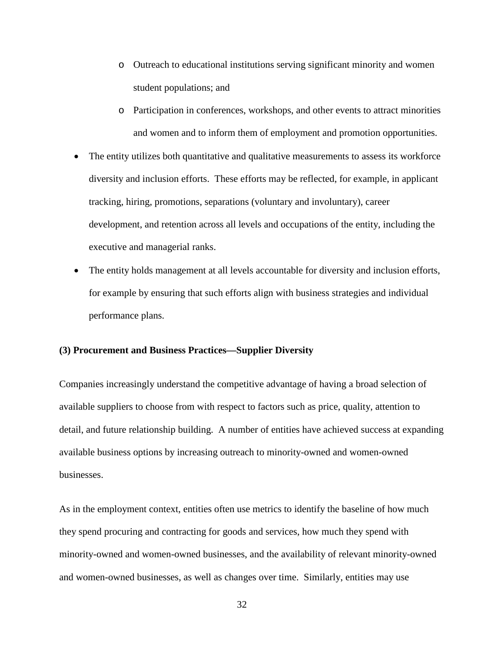- o Outreach to educational institutions serving significant minority and women student populations; and
- o Participation in conferences, workshops, and other events to attract minorities and women and to inform them of employment and promotion opportunities.
- The entity utilizes both quantitative and qualitative measurements to assess its workforce diversity and inclusion efforts. These efforts may be reflected, for example, in applicant tracking, hiring, promotions, separations (voluntary and involuntary), career development, and retention across all levels and occupations of the entity, including the executive and managerial ranks.
- The entity holds management at all levels accountable for diversity and inclusion efforts, for example by ensuring that such efforts align with business strategies and individual performance plans.

## **(3) Procurement and Business Practices—Supplier Diversity**

Companies increasingly understand the competitive advantage of having a broad selection of available suppliers to choose from with respect to factors such as price, quality, attention to detail, and future relationship building. A number of entities have achieved success at expanding available business options by increasing outreach to minority-owned and women-owned businesses.

As in the employment context, entities often use metrics to identify the baseline of how much they spend procuring and contracting for goods and services, how much they spend with minority-owned and women-owned businesses, and the availability of relevant minority-owned and women-owned businesses, as well as changes over time. Similarly, entities may use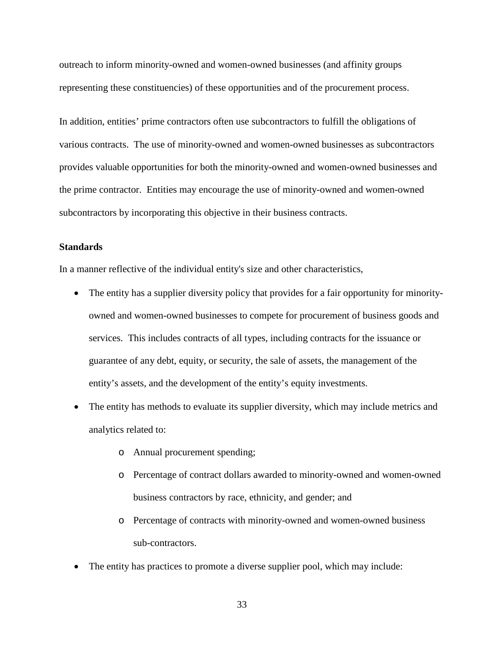outreach to inform minority-owned and women-owned businesses (and affinity groups representing these constituencies) of these opportunities and of the procurement process.

In addition, entities' prime contractors often use subcontractors to fulfill the obligations of various contracts. The use of minority-owned and women-owned businesses as subcontractors provides valuable opportunities for both the minority-owned and women-owned businesses and the prime contractor. Entities may encourage the use of minority-owned and women-owned subcontractors by incorporating this objective in their business contracts.

### **Standards**

In a manner reflective of the individual entity's size and other characteristics,

- The entity has a supplier diversity policy that provides for a fair opportunity for minorityowned and women-owned businesses to compete for procurement of business goods and services. This includes contracts of all types, including contracts for the issuance or guarantee of any debt, equity, or security, the sale of assets, the management of the entity's assets, and the development of the entity's equity investments.
- The entity has methods to evaluate its supplier diversity, which may include metrics and analytics related to:
	- o Annual procurement spending;
	- o Percentage of contract dollars awarded to minority-owned and women-owned business contractors by race, ethnicity, and gender; and
	- o Percentage of contracts with minority-owned and women-owned business sub-contractors.
- The entity has practices to promote a diverse supplier pool, which may include: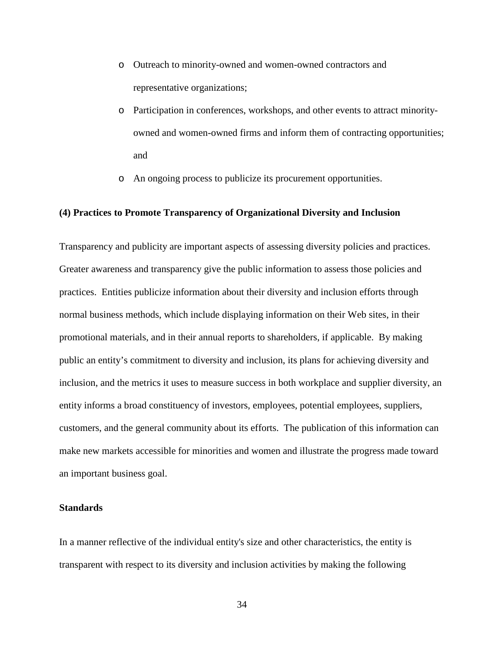- o Outreach to minority-owned and women-owned contractors and representative organizations;
- o Participation in conferences, workshops, and other events to attract minorityowned and women-owned firms and inform them of contracting opportunities; and
- o An ongoing process to publicize its procurement opportunities.

### **(4) Practices to Promote Transparency of Organizational Diversity and Inclusion**

Transparency and publicity are important aspects of assessing diversity policies and practices. Greater awareness and transparency give the public information to assess those policies and practices. Entities publicize information about their diversity and inclusion efforts through normal business methods, which include displaying information on their Web sites, in their promotional materials, and in their annual reports to shareholders, if applicable. By making public an entity's commitment to diversity and inclusion, its plans for achieving diversity and inclusion, and the metrics it uses to measure success in both workplace and supplier diversity, an entity informs a broad constituency of investors, employees, potential employees, suppliers, customers, and the general community about its efforts. The publication of this information can make new markets accessible for minorities and women and illustrate the progress made toward an important business goal.

# **Standards**

In a manner reflective of the individual entity's size and other characteristics, the entity is transparent with respect to its diversity and inclusion activities by making the following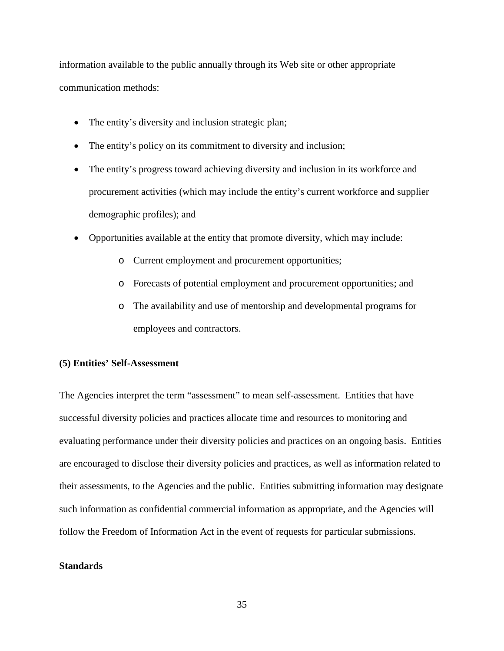information available to the public annually through its Web site or other appropriate communication methods:

- The entity's diversity and inclusion strategic plan;
- The entity's policy on its commitment to diversity and inclusion;
- The entity's progress toward achieving diversity and inclusion in its workforce and procurement activities (which may include the entity's current workforce and supplier demographic profiles); and
- Opportunities available at the entity that promote diversity, which may include:
	- o Current employment and procurement opportunities;
	- o Forecasts of potential employment and procurement opportunities; and
	- o The availability and use of mentorship and developmental programs for employees and contractors.

#### **(5) Entities' Self-Assessment**

The Agencies interpret the term "assessment" to mean self-assessment. Entities that have successful diversity policies and practices allocate time and resources to monitoring and evaluating performance under their diversity policies and practices on an ongoing basis. Entities are encouraged to disclose their diversity policies and practices, as well as information related to their assessments, to the Agencies and the public. Entities submitting information may designate such information as confidential commercial information as appropriate, and the Agencies will follow the Freedom of Information Act in the event of requests for particular submissions.

# **Standards**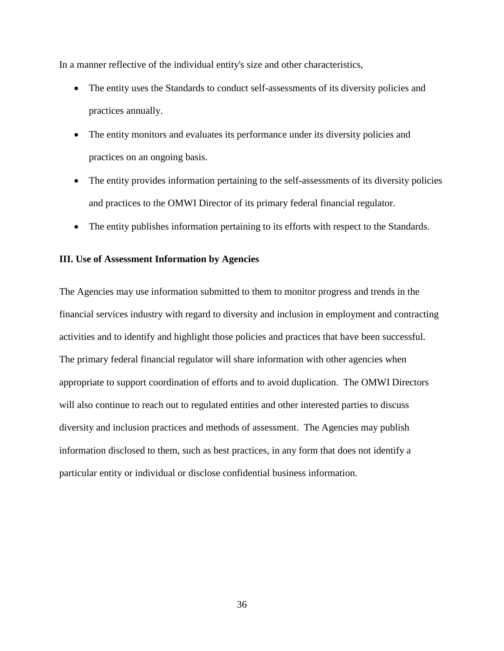In a manner reflective of the individual entity's size and other characteristics,

- The entity uses the Standards to conduct self-assessments of its diversity policies and practices annually.
- The entity monitors and evaluates its performance under its diversity policies and practices on an ongoing basis.
- The entity provides information pertaining to the self-assessments of its diversity policies and practices to the OMWI Director of its primary federal financial regulator.
- The entity publishes information pertaining to its efforts with respect to the Standards.

## **III. Use of Assessment Information by Agencies**

The Agencies may use information submitted to them to monitor progress and trends in the financial services industry with regard to diversity and inclusion in employment and contracting activities and to identify and highlight those policies and practices that have been successful. The primary federal financial regulator will share information with other agencies when appropriate to support coordination of efforts and to avoid duplication. The OMWI Directors will also continue to reach out to regulated entities and other interested parties to discuss diversity and inclusion practices and methods of assessment. The Agencies may publish information disclosed to them, such as best practices, in any form that does not identify a particular entity or individual or disclose confidential business information.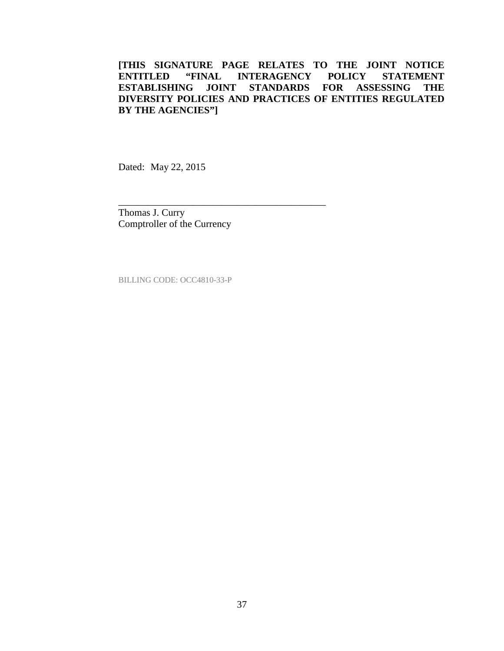Dated: May 22, 2015

Thomas J. Curry Comptroller of the Currency

\_\_\_\_\_\_\_\_\_\_\_\_\_\_\_\_\_\_\_\_\_\_\_\_\_\_\_\_\_\_\_\_\_\_\_\_\_\_\_\_\_\_

BILLING CODE: OCC4810-33-P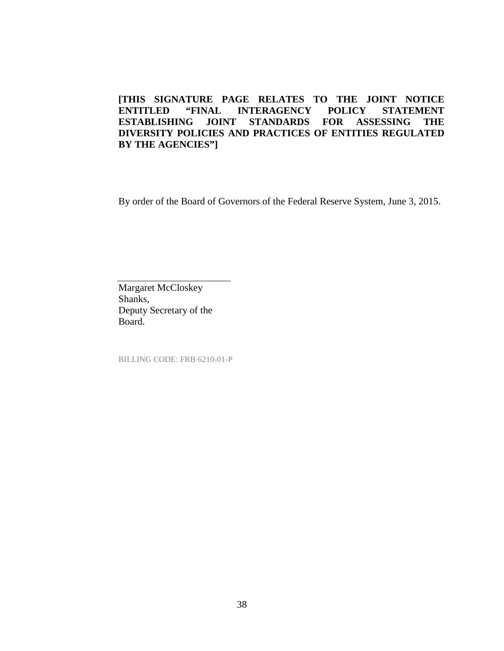By order of the Board of Governors of the Federal Reserve System, June 3, 2015.

Margaret McCloskey Shanks, Deputy Secretary of the Board.

BILLING CODE: FRB 6210-01-P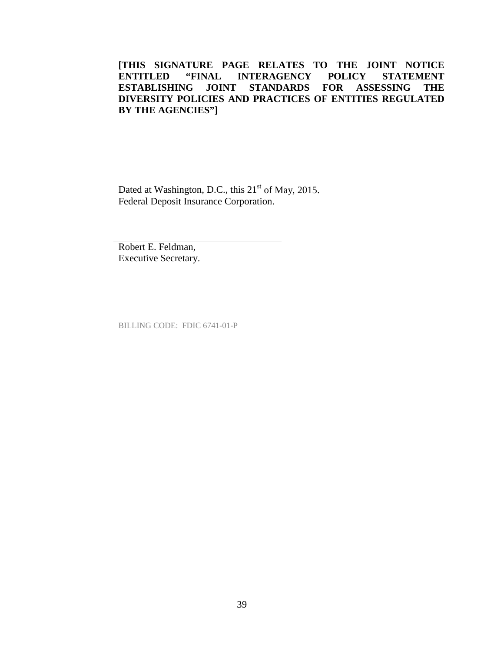Dated at Washington, D.C., this 21<sup>st</sup> of May, 2015. Federal Deposit Insurance Corporation.

Robert E. Feldman, Executive Secretary.

BILLING CODE: FDIC 6741-01-P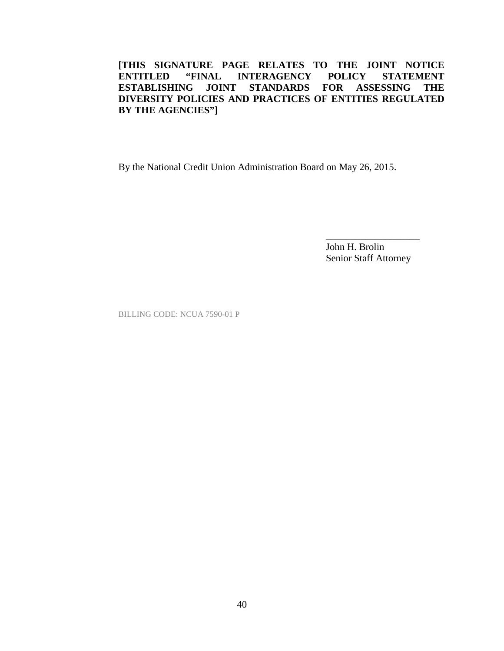By the National Credit Union Administration Board on May 26, 2015.

John H. Brolin Senior Staff Attorney

\_\_\_\_\_\_\_\_\_\_\_\_\_\_\_\_\_\_\_

BILLING CODE: NCUA 7590-01 P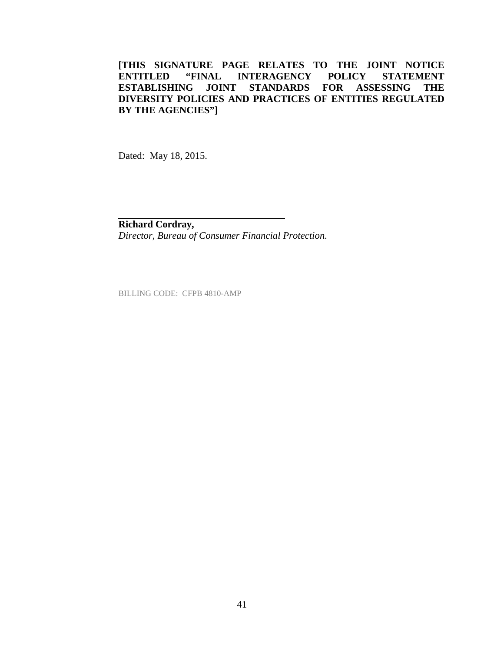Dated: May 18, 2015.

**Richard Cordray,**  *Director, Bureau of Consumer Financial Protection.*

BILLING CODE: CFPB 4810-AMP